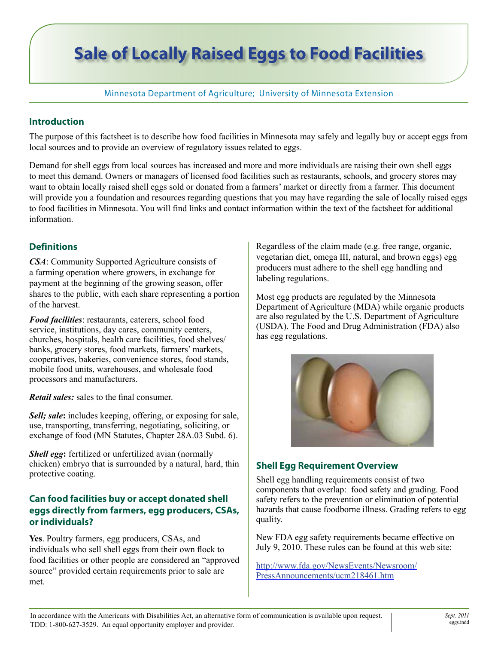# **Sale of Locally Raised Eggs to Food Facilities**

#### Minnesota Department of Agriculture; University of Minnesota Extension

#### **Introduction**

The purpose of this factsheet is to describe how food facilities in Minnesota may safely and legally buy or accept eggs from local sources and to provide an overview of regulatory issues related to eggs.

Demand for shell eggs from local sources has increased and more and more individuals are raising their own shell eggs to meet this demand. Owners or managers of licensed food facilities such as restaurants, schools, and grocery stores may want to obtain locally raised shell eggs sold or donated from a farmers' market or directly from a farmer. This document will provide you a foundation and resources regarding questions that you may have regarding the sale of locally raised eggs to food facilities in Minnesota. You will find links and contact information within the text of the factsheet for additional information.

#### **Definitions**

*CSA*: Community Supported Agriculture consists of a farming operation where growers, in exchange for payment at the beginning of the growing season, offer shares to the public, with each share representing a portion of the harvest.

*Food facilities*: restaurants, caterers, school food service, institutions, day cares, community centers, churches, hospitals, health care facilities, food shelves/ banks, grocery stores, food markets, farmers' markets, cooperatives, bakeries, convenience stores, food stands, mobile food units, warehouses, and wholesale food processors and manufacturers.

*Retail sales:* sales to the final consumer.

*Sell; sale***:** includes keeping, offering, or exposing for sale, use, transporting, transferring, negotiating, soliciting, or exchange of food (MN Statutes, Chapter 28A.03 Subd. 6).

*Shell egg*: fertilized or unfertilized avian (normally chicken) embryo that is surrounded by a natural, hard, thin protective coating.

#### **Can food facilities buy or accept donated shell eggs directly from farmers, egg producers, CSAs, or individuals?**

**Yes**. Poultry farmers, egg producers, CSAs, and individuals who sell shell eggs from their own flock to food facilities or other people are considered an "approved source" provided certain requirements prior to sale are met.

Regardless of the claim made (e.g. free range, organic, vegetarian diet, omega III, natural, and brown eggs) egg producers must adhere to the shell egg handling and labeling regulations.

Most egg products are regulated by the Minnesota Department of Agriculture (MDA) while organic products are also regulated by the U.S. Department of Agriculture (USDA). The Food and Drug Administration (FDA) also has egg regulations.



## **Shell Egg Requirement Overview**

Shell egg handling requirements consist of two components that overlap: food safety and grading. Food safety refers to the prevention or elimination of potential hazards that cause foodborne illness. Grading refers to egg quality.

New FDA egg safety requirements became effective on July 9, 2010. These rules can be found at this web site:

[http://www.fda.gov/NewsEvents/Newsroom/](http://www.fda.gov/NewsEvents/Newsroom/PressAnnouncements/ucm218461.htm) [PressAnnouncements/ucm218461.htm](http://www.fda.gov/NewsEvents/Newsroom/PressAnnouncements/ucm218461.htm)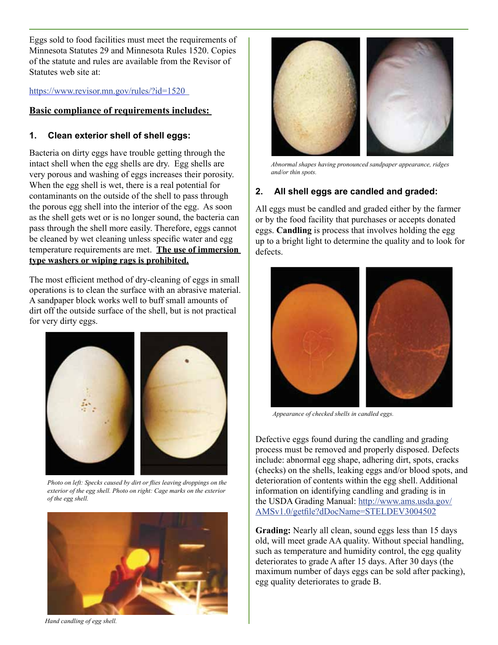Eggs sold to food facilities must meet the requirements of Minnesota Statutes 29 and Minnesota Rules 1520. Copies of the statute and rules are available from the Revisor of Statutes web site at:

<https://www.revisor.mn.gov/rules/?id=1520>

#### **Basic compliance of requirements includes:**

#### **1. Clean exterior shell of shell eggs:**

Bacteria on dirty eggs have trouble getting through the intact shell when the egg shells are dry. Egg shells are very porous and washing of eggs increases their porosity. When the egg shell is wet, there is a real potential for contaminants on the outside of the shell to pass through the porous egg shell into the interior of the egg. As soon as the shell gets wet or is no longer sound, the bacteria can pass through the shell more easily. Therefore, eggs cannot be cleaned by wet cleaning unless specific water and egg temperature requirements are met. **The use of immersion type washers or wiping rags is prohibited.**

The most efficient method of dry-cleaning of eggs in small operations is to clean the surface with an abrasive material. A sandpaper block works well to buff small amounts of dirt off the outside surface of the shell, but is not practical for very dirty eggs.



*Photo on left: Specks caused by dirt or flies leaving droppings on the exterior of the egg shell. Photo on right: Cage marks on the exterior of the egg shell.*





*Abnormal shapes having pronounced sandpaper appearance, ridges and/or thin spots.*

#### **2. All shell eggs are candled and graded:**

All eggs must be candled and graded either by the farmer or by the food facility that purchases or accepts donated eggs. **Candling** is process that involves holding the egg up to a bright light to determine the quality and to look for defects.



*Appearance of checked shells in candled eggs.*

Defective eggs found during the candling and grading process must be removed and properly disposed. Defects include: abnormal egg shape, adhering dirt, spots, cracks (checks) on the shells, leaking eggs and/or blood spots, and deterioration of contents within the egg shell. Additional information on identifying candling and grading is in the USDA Grading Manual: http://www.ams.usda.gov/ AMSv1.0/getfile?dDocName=STELDEV3004502

**Grading:** Nearly all clean, sound eggs less than 15 days old, will meet grade AA quality. Without special handling, such as temperature and humidity control, the egg quality deteriorates to grade A after 15 days. After 30 days (the maximum number of days eggs can be sold after packing), egg quality deteriorates to grade B.

*Hand candling of egg shell.*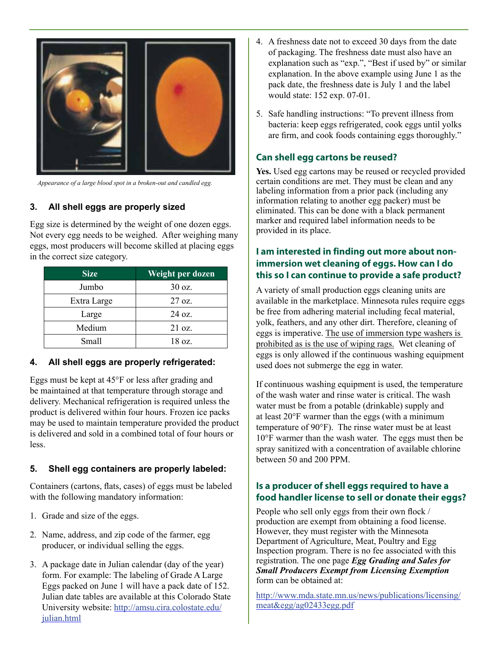

*Appearance of a large blood spot in a broken-out and candled egg.*

#### **3. All shell eggs are properly sized**

Egg size is determined by the weight of one dozen eggs. Not every egg needs to be weighed. After weighing many eggs, most producers will become skilled at placing eggs in the correct size category.

| <b>Size</b> | Weight per dozen |  |
|-------------|------------------|--|
| Jumbo       | 30 oz.           |  |
| Extra Large | $27 \text{ oz}$  |  |
| Large       | $24 \text{ oz}$  |  |
| Medium      | 21 oz.           |  |
| Small       | 18 oz.           |  |

#### **4. All shell eggs are properly refrigerated:**

Eggs must be kept at 45°F or less after grading and be maintained at that temperature through storage and delivery. Mechanical refrigeration is required unless the product is delivered within four hours. Frozen ice packs may be used to maintain temperature provided the product is delivered and sold in a combined total of four hours or less.

#### **5. Shell egg containers are properly labeled:**

Containers (cartons, flats, cases) of eggs must be labeled with the following mandatory information:

- 1. Grade and size of the eggs.
- 2. Name, address, and zip code of the farmer, egg producer, or individual selling the eggs.
- 3. A package date in Julian calendar (day of the year) form. For example: The labeling of Grade A Large Eggs packed on June 1 will have a pack date of 152. Julian date tables are available at this Colorado State University website: [http://amsu.cira.colostate.edu/](http://amsu.cira.colostate.edu/julian.html) [julian.html](http://amsu.cira.colostate.edu/julian.html)
- 4. A freshness date not to exceed 30 days from the date of packaging. The freshness date must also have an explanation such as "exp.", "Best if used by" or similar explanation. In the above example using June 1 as the pack date, the freshness date is July 1 and the label would state: 152 exp. 07-01.
- 5. Safe handling instructions: "To prevent illness from bacteria: keep eggs refrigerated, cook eggs until yolks are firm, and cook foods containing eggs thoroughly."

## **Can shell egg cartons be reused?**

**Yes.** Used egg cartons may be reused or recycled provided certain conditions are met. They must be clean and any labeling information from a prior pack (including any information relating to another egg packer) must be eliminated. This can be done with a black permanent marker and required label information needs to be provided in its place.

## **I am interested in finding out more about nonimmersion wet cleaning of eggs. How can I do this so I can continue to provide a safe product?**

A variety of small production eggs cleaning units are available in the marketplace. Minnesota rules require eggs be free from adhering material including fecal material, yolk, feathers, and any other dirt. Therefore, cleaning of eggs is imperative. The use of immersion type washers is prohibited as is the use of wiping rags. Wet cleaning of eggs is only allowed if the continuous washing equipment used does not submerge the egg in water.

If continuous washing equipment is used, the temperature of the wash water and rinse water is critical. The wash water must be from a potable (drinkable) supply and at least 20°F warmer than the eggs (with a minimum temperature of 90°F). The rinse water must be at least 10°F warmer than the wash water. The eggs must then be spray sanitized with a concentration of available chlorine between 50 and 200 PPM.

## **Is a producer of shell eggs required to have a food handler license to sell or donate their eggs?**

People who sell only eggs from their own flock / production are exempt from obtaining a food license. However, they must register with the Minnesota Department of Agriculture, Meat, Poultry and Egg Inspection program. There is no fee associated with this registration. The one page *Egg Grading and Sales for Small Producers Exempt from Licensing Exemption* form can be obtained at:

[http://www.mda.state.mn.us/news/publications/licensing/](http://www.mda.state.mn.us/news/publications/licensing/meat&egg/ag02433egg.pdf) [meat&egg/ag02433egg.pdf](http://www.mda.state.mn.us/news/publications/licensing/meat&egg/ag02433egg.pdf)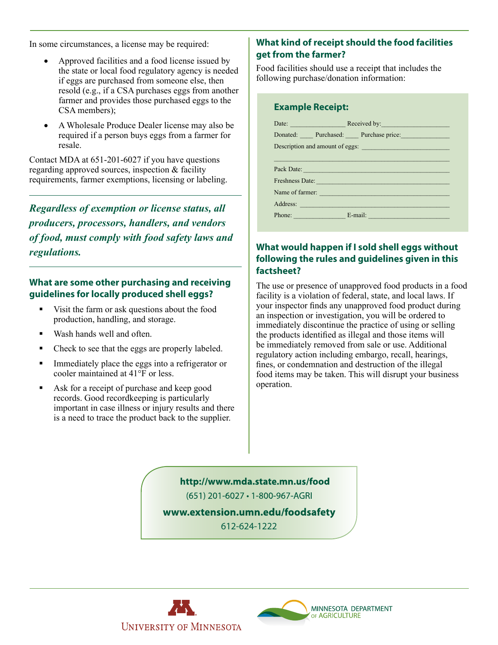In some circumstances, a license may be required:

- Approved facilities and a food license issued by the state or local food regulatory agency is needed if eggs are purchased from someone else, then resold (e.g., if a CSA purchases eggs from another farmer and provides those purchased eggs to the CSA members);
- A Wholesale Produce Dealer license may also be required if a person buys eggs from a farmer for resale.

Contact MDA at 651-201-6027 if you have questions regarding approved sources, inspection & facility requirements, farmer exemptions, licensing or labeling.

*Regardless of exemption or license status, all producers, processors, handlers, and vendors of food, must comply with food safety laws and regulations.*

#### **What are some other purchasing and receiving guidelines for locally produced shell eggs?**

- Visit the farm or ask questions about the food production, handling, and storage.
- Wash hands well and often.
- Check to see that the eggs are properly labeled.
- Immediately place the eggs into a refrigerator or cooler maintained at 41°F or less.
- Ask for a receipt of purchase and keep good records. Good recordkeeping is particularly important in case illness or injury results and there is a need to trace the product back to the supplier.

## **What kind of receipt should the food facilities get from the farmer?**

Food facilities should use a receipt that includes the following purchase/donation information:

#### **Example Receipt:**

|                                 | Donated: Purchased: Purchase price: Purchase price:                                                                                                                                                                            |  |  |  |
|---------------------------------|--------------------------------------------------------------------------------------------------------------------------------------------------------------------------------------------------------------------------------|--|--|--|
| Description and amount of eggs: |                                                                                                                                                                                                                                |  |  |  |
|                                 |                                                                                                                                                                                                                                |  |  |  |
|                                 | Pack Date: New York Date: New York Date: New York Date: New York Date: New York Date: New York Date: New York Date: New York Date: New York Date: New York Date: New York Date: New York Date: New York Date: New York Date: N |  |  |  |
|                                 | Freshness Date: New York Changes and September 2018                                                                                                                                                                            |  |  |  |
|                                 | Name of farmer:                                                                                                                                                                                                                |  |  |  |
|                                 | Address: Note and the contract of the contract of the contract of the contract of the contract of the contract of the contract of the contract of the contract of the contract of the contract of the contract of the contract |  |  |  |
|                                 | Phone: E-mail: E-mail:                                                                                                                                                                                                         |  |  |  |
|                                 |                                                                                                                                                                                                                                |  |  |  |

## **What would happen if I sold shell eggs without following the rules and guidelines given in this factsheet?**

The use or presence of unapproved food products in a food facility is a violation of federal, state, and local laws. If your inspector finds any unapproved food product during an inspection or investigation, you will be ordered to immediately discontinue the practice of using or selling the products identified as illegal and those items will be immediately removed from sale or use. Additional regulatory action including embargo, recall, hearings, fines, or condemnation and destruction of the illegal food items may be taken. This will disrupt your business operation.

http://www.mda.state.mn.us/food (651) 201-6027 · 1-800-967-AGRI

www.extension.umn.edu/foodsafety 612-624-1222